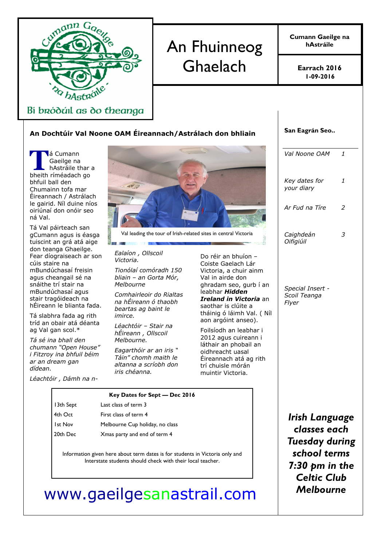

# An Fhuinneog Ghaelach

Cumann Gaeilge na hAstráile

> 1-09-2016 Earrach 2016

An Dochtúir Val Noone OAM Éireannach/Astrálach don bhliain

T á Cumann Gaeilge na hAstráile thar a bheith ríméadach go bhfuil ball den Chumainn tofa mar Éireannach / Astrálach le gairid. Níl duine níos oiriúnaí don onóir seo ná Val.

Tá Val páirteach san gCumann agus is éasga tuiscint an grá atá aige don teanga Ghaeilge. Fear díograiseach ar son cúis staire na mBundúchasaí freisin agus cheangail sé na snáithe trí stair na mBundúchasaí agus stair tragóideach na hÉireann le blianta fada.

Tá slabhra fada ag rith tríd an obair atá déanta ag Val gan scol.\*

Tá sé ina bhall den chumann "Open House" i Fitzroy ina bhfuil béim ar an dream gan dídean.

Léachtóir , Dámh na n-



Val leading the tour of Irish-related sites in central Victoria

Ealaíon , Ollscoil Victoria.

Tionólaí comóradh 150 bliain – an Gorta Mór, Melbourne

Comhairleoir do Rialtas na hÉireann ó thaobh beartas ag baint le imirce.

Léachtóir – Stair na hÉireann , Ollscoil Melbourne.

Eagarthóir ar an iris " Táin" chomh maith le altanna a scríobh don iris chéanna.

Do réir an bhuíon – Coiste Gaelach Lár Victoria, a chuir ainm Val in airde don ghradam seo, gurb í an leabhar Hidden Ireland in Victoria an saothar is clúite a tháinig ó láimh Val. ( Níl aon argóint anseo).

Foilsíodh an leabhar i 2012 agus cuireann i láthair an phobail an oidhreacht uasal Éireannach atá ag rith trí chuisle mórán muintir Victoria.

### Key Dates for Sept — Dec 2016 13th Sept Last class of term 3 4th Oct First class of term 4 1st Nov Melbourne Cup holiday, no class 20th Dec Xmas party and end of term 4

Information given here about term dates is for students in Victoria only and Interstate students should check with their local teacher.

# www.gaeilgesanastrail.com

| San Eagrán Seo                                                                                                  |   |
|-----------------------------------------------------------------------------------------------------------------|---|
| Val Noone OAM                                                                                                   | 1 |
| Key dates for<br>your diary                                                                                     | 1 |
| Ar Fud na Tíre                                                                                                  | 2 |
| Caighdeán<br>Oifigiúil                                                                                          | 3 |
| <b>Special Insert -</b><br>Scoil Teanga<br>Flyer                                                                |   |
| Irish Language<br>classes each<br><b>Tuesday during</b><br>school terms<br>7:30 pm in the<br><b>Celtic Club</b> |   |

Melbourne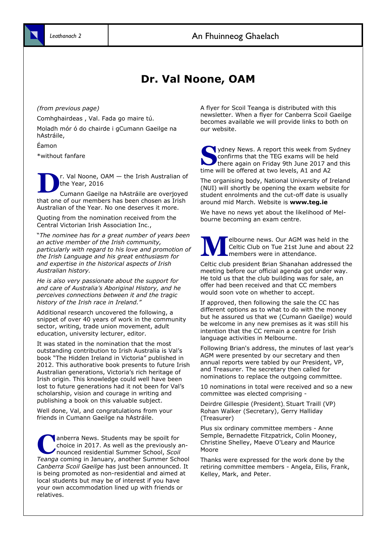

### Dr. Val Noone, OAM

#### (from previous page)

Comhghairdeas , Val. Fada go maire tú.

Moladh mór ó do chairde i gCumann Gaeilge na hAstráile,

### Éamon

\*without fanfare

D r. Val Noone, OAM — the Irish Australian of the Year, 2016

Cumann Gaeilge na hAstráile are overjoyed that one of our members has been chosen as Irish Australian of the Year. No one deserves it more.

Quoting from the nomination received from the Central Victorian Irish Association Inc.,

"The nominee has for a great number of years been an active member of the Irish community, particularly with regard to his love and promotion of the Irish Language and his great enthusiasm for and expertise in the historical aspects of Irish Australian history.

He is also very passionate about the support for and care of Australia's Aboriginal History, and he perceives connections between it and the tragic history of the Irish race in Ireland."

Additional research uncovered the following, a snippet of over 40 years of work in the community sector, writing, trade union movement, adult education, university lecturer, editor.

It was stated in the nomination that the most outstanding contribution to Irish Australia is Val's book "The Hidden Ireland in Victoria" published in 2012. This authorative book presents to future Irish Australian generations, Victoria's rich heritage of Irish origin. This knowledge could well have been lost to future generations had it not been for Val's scholarship, vision and courage in writing and publishing a book on this valuable subject.

Well done, Val, and congratulations from your friends in Cumann Gaeilge na hAstráile.

C anberra News. Students may be spoilt for choice in 2017. As well as the previously announced residential Summer School, Scoil Teanga coming in January, another Summer School Canberra Scoil Gaeilge has just been announced. It is being promoted as non-residential and aimed at local students but may be of interest if you have your own accommodation lined up with friends or relatives.

A flyer for Scoil Teanga is distributed with this newsletter. When a flyer for Canberra Scoil Gaeilge becomes available we will provide links to both on our website.

S ydney News. A report this week from Sydney confirms that the TEG exams will be held there again on Friday 9th June 2017 and this time will be offered at two levels, A1 and A2

The organising body, National University of Ireland (NUI) will shortly be opening the exam website for student enrolments and the cut-off date is usually around mid March. Website is www.teq.ie

We have no news yet about the likelihood of Melbourne becoming an exam centre.



**MAGE CONTROVER STARK STARK STARK STARK STARK STARK STARK STARK STARK STARK STARK STARK STARK STARK STARK STARK STARK STARK STARK STARK STARK STARK STARK STARK STARK STARK STARK STARK STARK STARK STARK STARK STARK STARK ST** Celtic Club on Tue 21st June and about 22 members were in attendance.

Celtic club president Brian Shanahan addressed the meeting before our official agenda got under way. He told us that the club building was for sale, an offer had been received and that CC members would soon vote on whether to accept.

If approved, then following the sale the CC has different options as to what to do with the money but he assured us that we (Cumann Gaeilge) would be welcome in any new premises as it was still his intention that the CC remain a centre for Irish language activities in Melbourne.

Following Brian's address, the minutes of last year's AGM were presented by our secretary and then annual reports were tabled by our President, VP, and Treasurer. The secretary then called for nominations to replace the outgoing committee.

10 nominations in total were received and so a new committee was elected comprising -

Deirdre Gillespie (President), Stuart Traill (VP) Rohan Walker (Secretary), Gerry Halliday (Treasurer)

Plus six ordinary committee members - Anne Semple, Bernadette Fitzpatrick, Colin Mooney, Christine Shelley, Maeve O'Leary and Maurice Moore

Thanks were expressed for the work done by the retiring committee members - Angela, Eilis, Frank, Kelley, Mark, and Peter.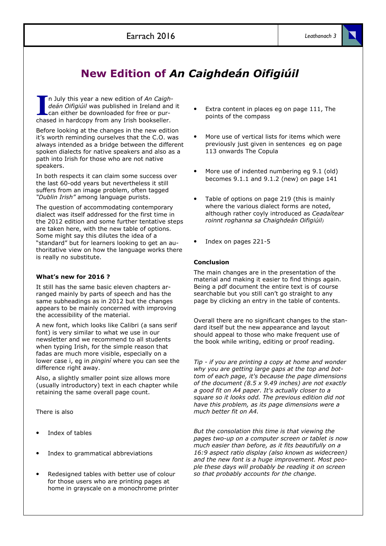## New Edition of An Caighdeán Oifigiúil

I n July this year a new edition of An Caighdeán Oifigiúil was published in Ireland and it can either be downloaded for free or purchased in hardcopy from any Irish bookseller.

Before looking at the changes in the new edition it's worth reminding ourselves that the C.O. was always intended as a bridge between the different spoken dialects for native speakers and also as a path into Irish for those who are not native speakers.

In both respects it can claim some success over the last 60-odd years but nevertheless it still suffers from an image problem, often tagged "Dublin Irish" among language purists.

The question of accommodating contemporary dialect was itself addressed for the first time in the 2012 edition and some further tentative steps are taken here, with the new table of options. Some might say this dilutes the idea of a "standard" but for learners looking to get an authoritative view on how the language works there is really no substitute.

#### What's new for 2016 ?

It still has the same basic eleven chapters arranged mainly by parts of speech and has the same subheadings as in 2012 but the changes appears to be mainly concerned with improving the accessibility of the material.

A new font, which looks like Calibri (a sans serif font) is very similar to what we use in our newsletter and we recommend to all students when typing Irish, for the simple reason that fadas are much more visible, especially on a lower case i, eg in pinginí where you can see the difference right away.

Also, a slightly smaller point size allows more (usually introductory) text in each chapter while retaining the same overall page count.

There is also

- Index of tables
- Index to grammatical abbreviations
- Redesigned tables with better use of colour for those users who are printing pages at home in grayscale on a monochrome printer
- Extra content in places eg on page 111, The points of the compass
- More use of vertical lists for items which were previously just given in sentences eg on page 113 onwards The Copula
- More use of indented numbering eg 9.1 (old) becomes 9.1.1 and 9.1.2 (new) on page 141
- Table of options on page 219 (this is mainly where the various dialect forms are noted, although rather coyly introduced as Ceadaítear roinnt roghanna sa Chaighdeán Oifigiúil*)*
- Index on pages 221-5

#### Conclusion

The main changes are in the presentation of the material and making it easier to find things again. Being a pdf document the entire text is of course searchable but you still can't go straight to any page by clicking an entry in the table of contents.

Overall there are no significant changes to the standard itself but the new appearance and layout should appeal to those who make frequent use of the book while writing, editing or proof reading.

Tip - if you are printing a copy at home and wonder why you are getting large gaps at the top and bottom of each page, it's because the page dimensions of the document  $(8.5 \times 9.49)$  inches) are not exactly a good fit on A4 paper. It's actually closer to a square so it looks odd. The previous edition did not have this problem, as its page dimensions were a much better fit on A4.

But the consolation this time is that viewing the pages two-up on a computer screen or tablet is now much easier than before, as it fits beautifully on a 16:9 aspect ratio display (also known as widecreen) and the new font is a huge improvement. Most people these days will probably be reading it on screen so that probably accounts for the change.